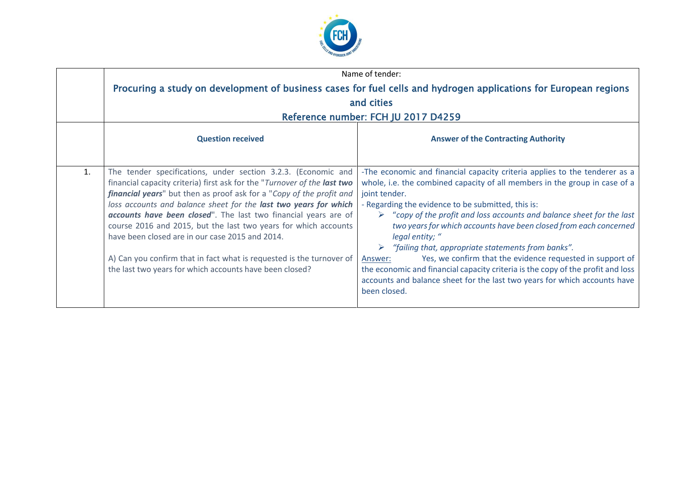

|                | Name of tender:                                                                                                                                                                                                                                                                                                                                                                                                                                                                                                                                                                                                   |                                                                                                                                                                                                                                                                                                                                                                                                                                                                                                                                                                                                                                                                                                                                     |  |
|----------------|-------------------------------------------------------------------------------------------------------------------------------------------------------------------------------------------------------------------------------------------------------------------------------------------------------------------------------------------------------------------------------------------------------------------------------------------------------------------------------------------------------------------------------------------------------------------------------------------------------------------|-------------------------------------------------------------------------------------------------------------------------------------------------------------------------------------------------------------------------------------------------------------------------------------------------------------------------------------------------------------------------------------------------------------------------------------------------------------------------------------------------------------------------------------------------------------------------------------------------------------------------------------------------------------------------------------------------------------------------------------|--|
|                | Procuring a study on development of business cases for fuel cells and hydrogen applications for European regions                                                                                                                                                                                                                                                                                                                                                                                                                                                                                                  |                                                                                                                                                                                                                                                                                                                                                                                                                                                                                                                                                                                                                                                                                                                                     |  |
|                | and cities                                                                                                                                                                                                                                                                                                                                                                                                                                                                                                                                                                                                        |                                                                                                                                                                                                                                                                                                                                                                                                                                                                                                                                                                                                                                                                                                                                     |  |
|                | Reference number: FCH JU 2017 D4259                                                                                                                                                                                                                                                                                                                                                                                                                                                                                                                                                                               |                                                                                                                                                                                                                                                                                                                                                                                                                                                                                                                                                                                                                                                                                                                                     |  |
|                | <b>Question received</b>                                                                                                                                                                                                                                                                                                                                                                                                                                                                                                                                                                                          | <b>Answer of the Contracting Authority</b>                                                                                                                                                                                                                                                                                                                                                                                                                                                                                                                                                                                                                                                                                          |  |
| $\mathbf{1}$ . | The tender specifications, under section 3.2.3. (Economic and<br>financial capacity criteria) first ask for the "Turnover of the last two<br>financial years" but then as proof ask for a "Copy of the profit and<br>loss accounts and balance sheet for the last two years for which<br>accounts have been closed". The last two financial years are of<br>course 2016 and 2015, but the last two years for which accounts<br>have been closed are in our case 2015 and 2014.<br>A) Can you confirm that in fact what is requested is the turnover of<br>the last two years for which accounts have been closed? | -The economic and financial capacity criteria applies to the tenderer as a<br>whole, i.e. the combined capacity of all members in the group in case of a<br>joint tender.<br>- Regarding the evidence to be submitted, this is:<br>$\triangleright$ "copy of the profit and loss accounts and balance sheet for the last<br>two years for which accounts have been closed from each concerned<br>legal entity; "<br>"failing that, appropriate statements from banks".<br>➤<br>Yes, we confirm that the evidence requested in support of<br>Answer:<br>the economic and financial capacity criteria is the copy of the profit and loss<br>accounts and balance sheet for the last two years for which accounts have<br>been closed. |  |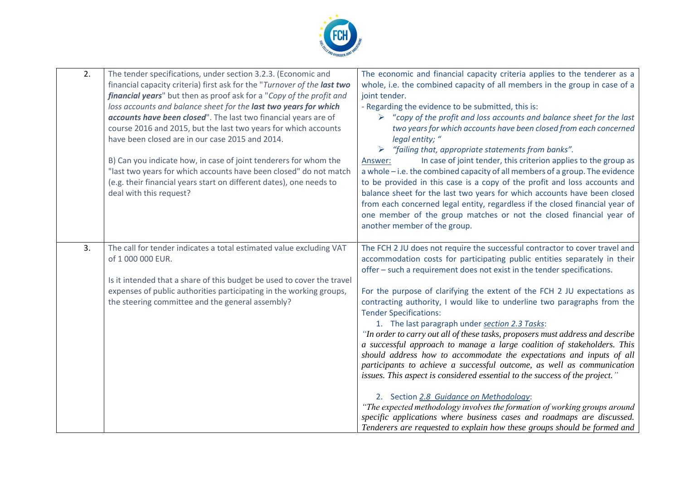

| 2. | The tender specifications, under section 3.2.3. (Economic and<br>financial capacity criteria) first ask for the "Turnover of the last two<br>financial years" but then as proof ask for a "Copy of the profit and<br>loss accounts and balance sheet for the last two years for which<br>accounts have been closed". The last two financial years are of<br>course 2016 and 2015, but the last two years for which accounts<br>have been closed are in our case 2015 and 2014.<br>B) Can you indicate how, in case of joint tenderers for whom the<br>"last two years for which accounts have been closed" do not match<br>(e.g. their financial years start on different dates), one needs to<br>deal with this request? | The economic and financial capacity criteria applies to the tenderer as a<br>whole, i.e. the combined capacity of all members in the group in case of a<br>joint tender.<br>- Regarding the evidence to be submitted, this is:<br>$\triangleright$ "copy of the profit and loss accounts and balance sheet for the last<br>two years for which accounts have been closed from each concerned<br>legal entity; "<br>"failing that, appropriate statements from banks".<br>In case of joint tender, this criterion applies to the group as<br>Answer:<br>a whole - i.e. the combined capacity of all members of a group. The evidence<br>to be provided in this case is a copy of the profit and loss accounts and<br>balance sheet for the last two years for which accounts have been closed<br>from each concerned legal entity, regardless if the closed financial year of<br>one member of the group matches or not the closed financial year of<br>another member of the group.                                                                                                                                                                        |
|----|---------------------------------------------------------------------------------------------------------------------------------------------------------------------------------------------------------------------------------------------------------------------------------------------------------------------------------------------------------------------------------------------------------------------------------------------------------------------------------------------------------------------------------------------------------------------------------------------------------------------------------------------------------------------------------------------------------------------------|------------------------------------------------------------------------------------------------------------------------------------------------------------------------------------------------------------------------------------------------------------------------------------------------------------------------------------------------------------------------------------------------------------------------------------------------------------------------------------------------------------------------------------------------------------------------------------------------------------------------------------------------------------------------------------------------------------------------------------------------------------------------------------------------------------------------------------------------------------------------------------------------------------------------------------------------------------------------------------------------------------------------------------------------------------------------------------------------------------------------------------------------------------|
| 3. | The call for tender indicates a total estimated value excluding VAT<br>of 1 000 000 EUR.<br>Is it intended that a share of this budget be used to cover the travel<br>expenses of public authorities participating in the working groups,<br>the steering committee and the general assembly?                                                                                                                                                                                                                                                                                                                                                                                                                             | The FCH 2 JU does not require the successful contractor to cover travel and<br>accommodation costs for participating public entities separately in their<br>offer – such a requirement does not exist in the tender specifications.<br>For the purpose of clarifying the extent of the FCH 2 JU expectations as<br>contracting authority, I would like to underline two paragraphs from the<br><b>Tender Specifications:</b><br>1. The last paragraph under section 2.3 Tasks:<br>"In order to carry out all of these tasks, proposers must address and describe<br>a successful approach to manage a large coalition of stakeholders. This<br>should address how to accommodate the expectations and inputs of all<br>participants to achieve a successful outcome, as well as communication<br>issues. This aspect is considered essential to the success of the project."<br>2. Section 2.8 Guidance on Methodology:<br>"The expected methodology involves the formation of working groups around<br>specific applications where business cases and roadmaps are discussed.<br>Tenderers are requested to explain how these groups should be formed and |